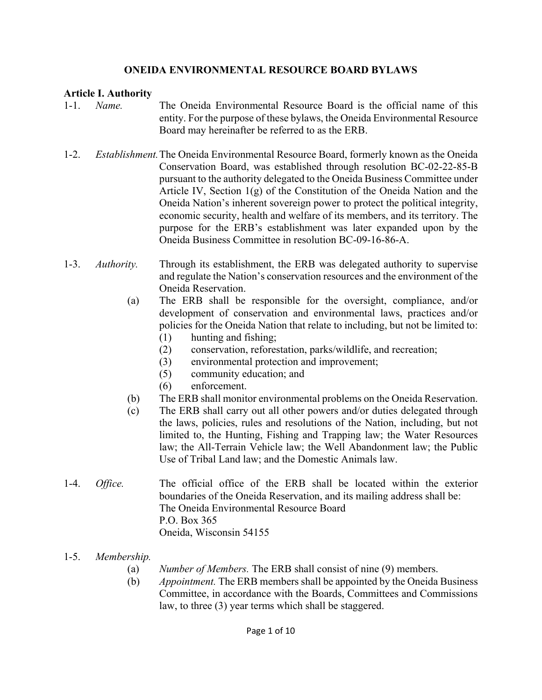#### **ONEIDA ENVIRONMENTAL RESOURCE BOARD BYLAWS**

#### **Article I. Authority**

- 1-1. *Name.* The Oneida Environmental Resource Board is the official name of this entity. For the purpose of these bylaws, the Oneida Environmental Resource Board may hereinafter be referred to as the ERB.
- 1-2. *Establishment.* The Oneida Environmental Resource Board, formerly known as the Oneida Conservation Board, was established through resolution BC-02-22-85-B pursuant to the authority delegated to the Oneida Business Committee under Article IV, Section 1(g) of the Constitution of the Oneida Nation and the Oneida Nation's inherent sovereign power to protect the political integrity, economic security, health and welfare of its members, and its territory. The purpose for the ERB's establishment was later expanded upon by the Oneida Business Committee in resolution BC-09-16-86-A.
- 1-3. *Authority.* Through its establishment, the ERB was delegated authority to supervise and regulate the Nation's conservation resources and the environment of the Oneida Reservation.
	- (a) The ERB shall be responsible for the oversight, compliance, and/or development of conservation and environmental laws, practices and/or policies for the Oneida Nation that relate to including, but not be limited to:
		- (1) hunting and fishing;
		- (2) conservation, reforestation, parks/wildlife, and recreation;
		- (3) environmental protection and improvement;
		- (5) community education; and
		- (6) enforcement.
	- (b) The ERB shall monitor environmental problems on the Oneida Reservation.
	- (c) The ERB shall carry out all other powers and/or duties delegated through the laws, policies, rules and resolutions of the Nation, including, but not limited to, the Hunting, Fishing and Trapping law; the Water Resources law; the All-Terrain Vehicle law; the Well Abandonment law; the Public Use of Tribal Land law; and the Domestic Animals law.
- 1-4. *Office.* The official office of the ERB shall be located within the exterior boundaries of the Oneida Reservation, and its mailing address shall be: The Oneida Environmental Resource Board P.O. Box 365 Oneida, Wisconsin 54155
- 1-5. *Membership.* 
	- (a) *Number of Members.* The ERB shall consist of nine (9) members.
	- (b) *Appointment.* The ERB members shall be appointed by the Oneida Business Committee, in accordance with the Boards, Committees and Commissions law, to three (3) year terms which shall be staggered.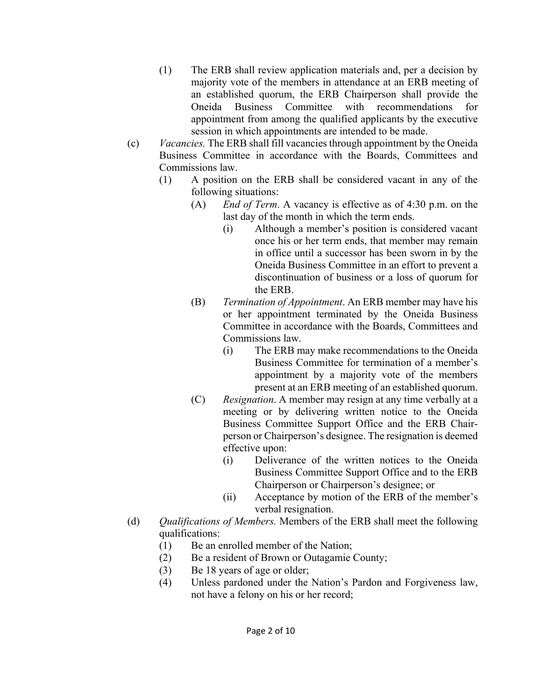- (1) The ERB shall review application materials and, per a decision by majority vote of the members in attendance at an ERB meeting of an established quorum, the ERB Chairperson shall provide the Oneida Business Committee with recommendations for appointment from among the qualified applicants by the executive session in which appointments are intended to be made.
- (c) *Vacancies.* The ERB shall fill vacancies through appointment by the Oneida Business Committee in accordance with the Boards, Committees and Commissions law.
	- (1) A position on the ERB shall be considered vacant in any of the following situations:
		- (A) *End of Term*. A vacancy is effective as of 4:30 p.m. on the last day of the month in which the term ends.
			- (i) Although a member's position is considered vacant once his or her term ends, that member may remain in office until a successor has been sworn in by the Oneida Business Committee in an effort to prevent a discontinuation of business or a loss of quorum for the ERB.
		- (B) *Termination of Appointment*. An ERB member may have his or her appointment terminated by the Oneida Business Committee in accordance with the Boards, Committees and Commissions law.
			- (i) The ERB may make recommendations to the Oneida Business Committee for termination of a member's appointment by a majority vote of the members present at an ERB meeting of an established quorum.
		- (C) *Resignation*. A member may resign at any time verbally at a meeting or by delivering written notice to the Oneida Business Committee Support Office and the ERB Chair person or Chairperson's designee. The resignation is deemed effective upon:
			- (i) Deliverance of the written notices to the Oneida Business Committee Support Office and to the ERB Chairperson or Chairperson's designee; or
			- (ii) Acceptance by motion of the ERB of the member's verbal resignation.
- (d) *Qualifications of Members.* Members of the ERB shall meet the following qualifications:
	- (1) Be an enrolled member of the Nation;
	- (2) Be a resident of Brown or Outagamie County;
	- (3) Be 18 years of age or older;
	- (4) Unless pardoned under the Nation's Pardon and Forgiveness law, not have a felony on his or her record;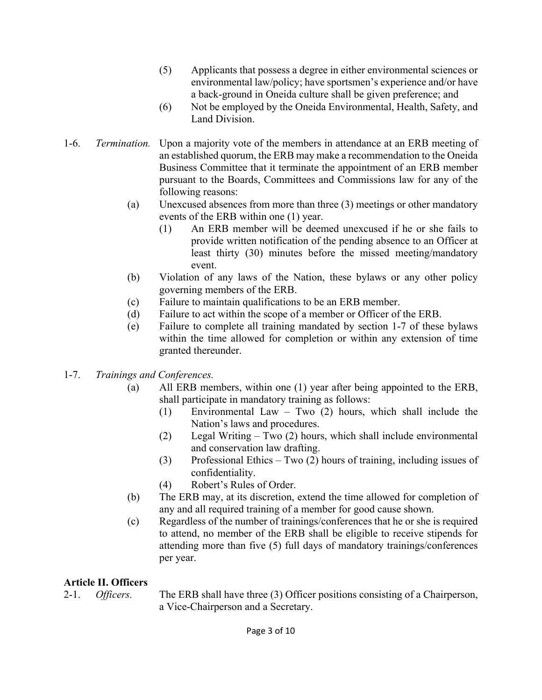- (5) Applicants that possess a degree in either environmental sciences or environmental law/policy; have sportsmen's experience and/or have a back-ground in Oneida culture shall be given preference; and
- (6) Not be employed by the Oneida Environmental, Health, Safety, and Land Division.
- 1-6. *Termination.* Upon a majority vote of the members in attendance at an ERB meeting of an established quorum, the ERB may make a recommendation to the Oneida Business Committee that it terminate the appointment of an ERB member pursuant to the Boards, Committees and Commissions law for any of the following reasons:
	- (a) Unexcused absences from more than three (3) meetings or other mandatory events of the ERB within one (1) year.
		- (1) An ERB member will be deemed unexcused if he or she fails to provide written notification of the pending absence to an Officer at least thirty (30) minutes before the missed meeting/mandatory event.
	- (b) Violation of any laws of the Nation, these bylaws or any other policy governing members of the ERB.
	- (c) Failure to maintain qualifications to be an ERB member.
	- (d) Failure to act within the scope of a member or Officer of the ERB.
	- (e) Failure to complete all training mandated by section 1-7 of these bylaws within the time allowed for completion or within any extension of time granted thereunder.
- 1-7. *Trainings and Conferences.* 
	- (a) All ERB members, within one (1) year after being appointed to the ERB, shall participate in mandatory training as follows:
		- (1) Environmental Law Two (2) hours, which shall include the Nation's laws and procedures.
		- (2) Legal Writing Two (2) hours, which shall include environmental and conservation law drafting.
		- (3) Professional Ethics Two (2) hours of training, including issues of confidentiality.
		- (4) Robert's Rules of Order.
	- (b) The ERB may, at its discretion, extend the time allowed for completion of any and all required training of a member for good cause shown.
	- (c) Regardless of the number of trainings/conferences that he or she is required to attend, no member of the ERB shall be eligible to receive stipends for attending more than five (5) full days of mandatory trainings/conferences per year.

### **Article II. Officers**

2-1. *Officers.* The ERB shall have three (3) Officer positions consisting of a Chairperson, a Vice-Chairperson and a Secretary.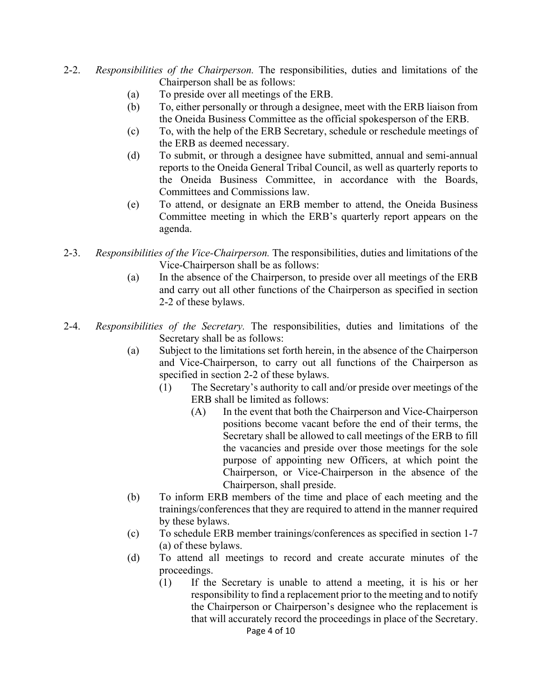- 2-2. *Responsibilities of the Chairperson.* The responsibilities, duties and limitations of the Chairperson shall be as follows:
	- (a) To preside over all meetings of the ERB.
	- (b) To, either personally or through a designee, meet with the ERB liaison from the Oneida Business Committee as the official spokesperson of the ERB.
	- (c) To, with the help of the ERB Secretary, schedule or reschedule meetings of the ERB as deemed necessary.
	- (d) To submit, or through a designee have submitted, annual and semi-annual reports to the Oneida General Tribal Council, as well as quarterly reports to the Oneida Business Committee, in accordance with the Boards, Committees and Commissions law.
	- (e) To attend, or designate an ERB member to attend, the Oneida Business Committee meeting in which the ERB's quarterly report appears on the agenda.
- 2-3. *Responsibilities of the Vice-Chairperson.* The responsibilities, duties and limitations of the Vice-Chairperson shall be as follows:
	- (a) In the absence of the Chairperson, to preside over all meetings of the ERB and carry out all other functions of the Chairperson as specified in section 2-2 of these bylaws.
- 2-4. *Responsibilities of the Secretary.* The responsibilities, duties and limitations of the Secretary shall be as follows:
	- (a) Subject to the limitations set forth herein, in the absence of the Chairperson and Vice-Chairperson, to carry out all functions of the Chairperson as specified in section 2-2 of these bylaws.
		- (1) The Secretary's authority to call and/or preside over meetings of the ERB shall be limited as follows:
			- (A) In the event that both the Chairperson and Vice-Chairperson positions become vacant before the end of their terms, the Secretary shall be allowed to call meetings of the ERB to fill the vacancies and preside over those meetings for the sole purpose of appointing new Officers, at which point the Chairperson, or Vice-Chairperson in the absence of the Chairperson, shall preside.
	- (b) To inform ERB members of the time and place of each meeting and the trainings/conferences that they are required to attend in the manner required by these bylaws.
	- (c) To schedule ERB member trainings/conferences as specified in section 1-7 (a) of these bylaws.
	- (d) To attend all meetings to record and create accurate minutes of the proceedings.
		- Page 4 of 10 (1) If the Secretary is unable to attend a meeting, it is his or her responsibility to find a replacement prior to the meeting and to notify the Chairperson or Chairperson's designee who the replacement is that will accurately record the proceedings in place of the Secretary.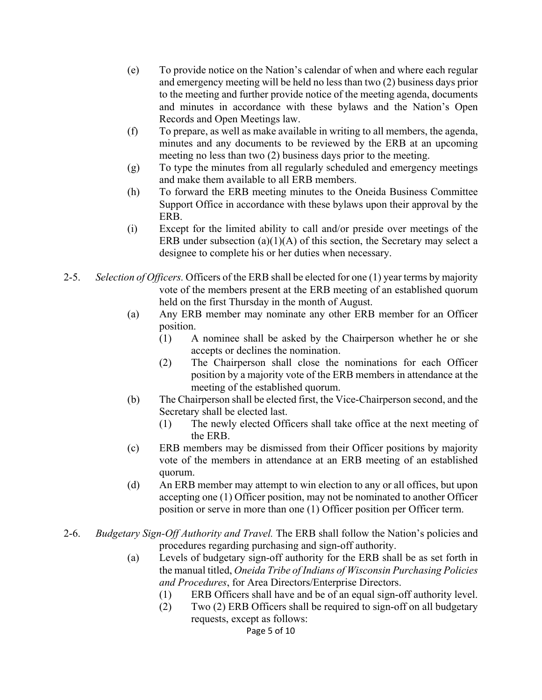- (e) To provide notice on the Nation's calendar of when and where each regular and emergency meeting will be held no less than two (2) business days prior to the meeting and further provide notice of the meeting agenda, documents and minutes in accordance with these bylaws and the Nation's Open Records and Open Meetings law.
- (f) To prepare, as well as make available in writing to all members, the agenda, minutes and any documents to be reviewed by the ERB at an upcoming meeting no less than two (2) business days prior to the meeting.
- (g) To type the minutes from all regularly scheduled and emergency meetings and make them available to all ERB members.
- (h) To forward the ERB meeting minutes to the Oneida Business Committee Support Office in accordance with these bylaws upon their approval by the ERB.
- (i) Except for the limited ability to call and/or preside over meetings of the ERB under subsection  $(a)(1)(A)$  of this section, the Secretary may select a designee to complete his or her duties when necessary.
- 2-5. *Selection of Officers.* Officers of the ERB shall be elected for one (1) year terms by majority vote of the members present at the ERB meeting of an established quorum held on the first Thursday in the month of August.
	- (a) Any ERB member may nominate any other ERB member for an Officer position.
		- (1) A nominee shall be asked by the Chairperson whether he or she accepts or declines the nomination.
		- (2) The Chairperson shall close the nominations for each Officer position by a majority vote of the ERB members in attendance at the meeting of the established quorum.
	- (b) The Chairperson shall be elected first, the Vice-Chairperson second, and the Secretary shall be elected last.
		- (1) The newly elected Officers shall take office at the next meeting of the ERB.
	- (c) ERB members may be dismissed from their Officer positions by majority vote of the members in attendance at an ERB meeting of an established quorum.
	- (d) An ERB member may attempt to win election to any or all offices, but upon accepting one (1) Officer position, may not be nominated to another Officer position or serve in more than one (1) Officer position per Officer term.
- 2-6. *Budgetary Sign-Off Authority and Travel.* The ERB shall follow the Nation's policies and procedures regarding purchasing and sign-off authority.
	- (a) Levels of budgetary sign-off authority for the ERB shall be as set forth in the manual titled, *Oneida Tribe of Indians of Wisconsin Purchasing Policies and Procedures*, for Area Directors/Enterprise Directors.
		- (1) ERB Officers shall have and be of an equal sign-off authority level.
		- Page 5 of 10 (2) Two (2) ERB Officers shall be required to sign-off on all budgetary requests, except as follows: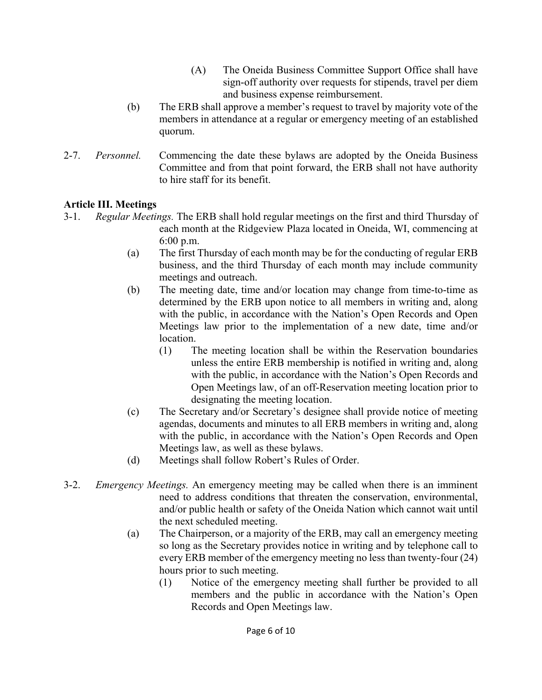- (A) The Oneida Business Committee Support Office shall have sign-off authority over requests for stipends, travel per diem and business expense reimbursement.
- (b) The ERB shall approve a member's request to travel by majority vote of the members in attendance at a regular or emergency meeting of an established quorum.
- 2-7. *Personnel.* Commencing the date these bylaws are adopted by the Oneida Business Committee and from that point forward, the ERB shall not have authority to hire staff for its benefit.

# **Article III. Meetings**

- 3-1. *Regular Meetings.* The ERB shall hold regular meetings on the first and third Thursday of each month at the Ridgeview Plaza located in Oneida, WI, commencing at 6:00 p.m.
	- (a) The first Thursday of each month may be for the conducting of regular ERB business, and the third Thursday of each month may include community meetings and outreach.
	- (b) The meeting date, time and/or location may change from time-to-time as determined by the ERB upon notice to all members in writing and, along with the public, in accordance with the Nation's Open Records and Open Meetings law prior to the implementation of a new date, time and/or location.
		- (1) The meeting location shall be within the Reservation boundaries unless the entire ERB membership is notified in writing and, along with the public, in accordance with the Nation's Open Records and Open Meetings law, of an off-Reservation meeting location prior to designating the meeting location.
	- (c) The Secretary and/or Secretary's designee shall provide notice of meeting agendas, documents and minutes to all ERB members in writing and, along with the public, in accordance with the Nation's Open Records and Open Meetings law, as well as these bylaws.
	- (d) Meetings shall follow Robert's Rules of Order.
- 3-2. *Emergency Meetings.* An emergency meeting may be called when there is an imminent need to address conditions that threaten the conservation, environmental, and/or public health or safety of the Oneida Nation which cannot wait until the next scheduled meeting.
	- (a) The Chairperson, or a majority of the ERB, may call an emergency meeting so long as the Secretary provides notice in writing and by telephone call to every ERB member of the emergency meeting no less than twenty-four (24) hours prior to such meeting.
		- (1) Notice of the emergency meeting shall further be provided to all members and the public in accordance with the Nation's Open Records and Open Meetings law.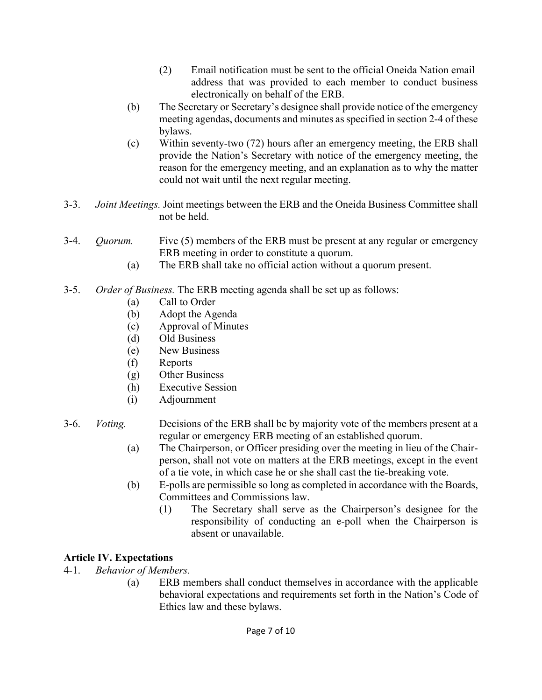- (2) Email notification must be sent to the official Oneida Nation email address that was provided to each member to conduct business electronically on behalf of the ERB.
- (b) The Secretary or Secretary's designee shall provide notice of the emergency meeting agendas, documents and minutes as specified in section 2-4 of these bylaws.
- (c) Within seventy-two (72) hours after an emergency meeting, the ERB shall provide the Nation's Secretary with notice of the emergency meeting, the reason for the emergency meeting, and an explanation as to why the matter could not wait until the next regular meeting.
- 3-3. *Joint Meetings.* Joint meetings between the ERB and the Oneida Business Committee shall not be held.
- 3-4. *Quorum.* Five (5) members of the ERB must be present at any regular or emergency ERB meeting in order to constitute a quorum.
	- (a) The ERB shall take no official action without a quorum present.
- 3-5. *Order of Business.* The ERB meeting agenda shall be set up as follows:
	- (a) Call to Order
	- (b) Adopt the Agenda
	- (c) Approval of Minutes
	- (d) Old Business
	- (e) New Business
	- (f) Reports
	- (g) Other Business
	- (h) Executive Session
	- (i) Adjournment
- 3-6. *Voting.* Decisions of the ERB shall be by majority vote of the members present at a regular or emergency ERB meeting of an established quorum.
	- (a) The Chairperson, or Officer presiding over the meeting in lieu of the Chair person, shall not vote on matters at the ERB meetings, except in the event of a tie vote, in which case he or she shall cast the tie-breaking vote.
	- (b) E-polls are permissible so long as completed in accordance with the Boards, Committees and Commissions law.
		- (1) The Secretary shall serve as the Chairperson's designee for the responsibility of conducting an e-poll when the Chairperson is absent or unavailable.

# **Article IV. Expectations**

- 4-1. *Behavior of Members.* 
	- (a) ERB members shall conduct themselves in accordance with the applicable behavioral expectations and requirements set forth in the Nation's Code of Ethics law and these bylaws.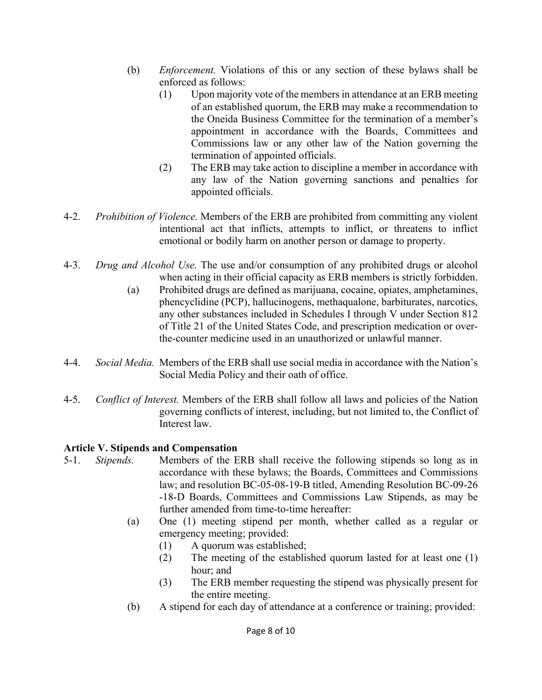- (b) *Enforcement.* Violations of this or any section of these bylaws shall be enforced as follows:
	- (1) Upon majority vote of the members in attendance at an ERB meeting of an established quorum, the ERB may make a recommendation to the Oneida Business Committee for the termination of a member's appointment in accordance with the Boards, Committees and Commissions law or any other law of the Nation governing the termination of appointed officials.
	- (2) The ERB may take action to discipline a member in accordance with any law of the Nation governing sanctions and penalties for appointed officials.
- 4-2. *Prohibition of Violence.* Members of the ERB are prohibited from committing any violent intentional act that inflicts, attempts to inflict, or threatens to inflict emotional or bodily harm on another person or damage to property.
- 4-3. *Drug and Alcohol Use.* The use and/or consumption of any prohibited drugs or alcohol when acting in their official capacity as ERB members is strictly forbidden.
	- (a) Prohibited drugs are defined as marijuana, cocaine, opiates, amphetamines, phencyclidine (PCP), hallucinogens, methaqualone, barbiturates, narcotics, any other substances included in Schedules I through V under Section 812 of Title 21 of the United States Code, and prescription medication or over the-counter medicine used in an unauthorized or unlawful manner.
- 4-4. *Social Media.* Members of the ERB shall use social media in accordance with the Nation's Social Media Policy and their oath of office.
- 4-5. *Conflict of Interest.* Members of the ERB shall follow all laws and policies of the Nation governing conflicts of interest, including, but not limited to, the Conflict of Interest law.

### **Article V. Stipends and Compensation**

- 5-1. *Stipends.* Members of the ERB shall receive the following stipends so long as in accordance with these bylaws; the Boards, Committees and Commissions law; and resolution BC-05-08-19-B titled, Amending Resolution BC-09-26 -18-D Boards, Committees and Commissions Law Stipends, as may be further amended from time-to-time hereafter:
	- (a) One (1) meeting stipend per month, whether called as a regular or emergency meeting; provided:
		- (1) A quorum was established;
		- (2) The meeting of the established quorum lasted for at least one (1) hour; and
		- (3) The ERB member requesting the stipend was physically present for the entire meeting.
	- (b) A stipend for each day of attendance at a conference or training; provided: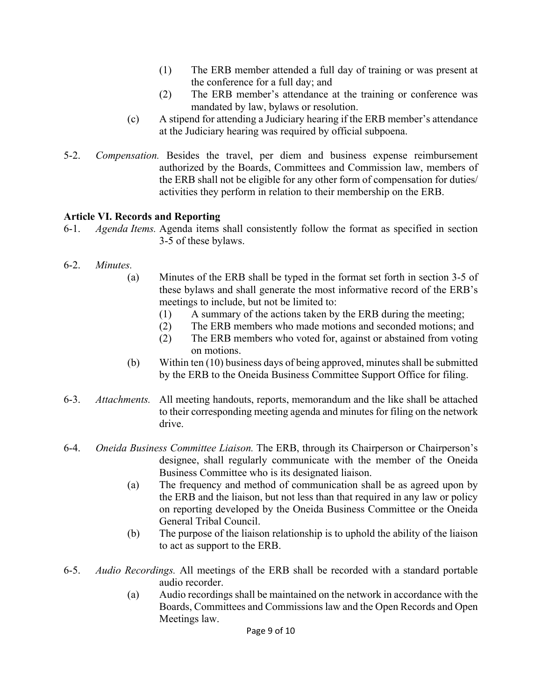- (1) The ERB member attended a full day of training or was present at the conference for a full day; and
- (2) The ERB member's attendance at the training or conference was mandated by law, bylaws or resolution.
- (c) A stipend for attending a Judiciary hearing if the ERB member's attendance at the Judiciary hearing was required by official subpoena.
- 5-2. *Compensation.* Besides the travel, per diem and business expense reimbursement authorized by the Boards, Committees and Commission law, members of the ERB shall not be eligible for any other form of compensation for duties/ activities they perform in relation to their membership on the ERB.

## **Article VI. Records and Reporting**

- 6-1. *Agenda Items.* Agenda items shall consistently follow the format as specified in section 3-5 of these bylaws.
- 6-2. *Minutes.*
	- (a) Minutes of the ERB shall be typed in the format set forth in section 3-5 of these bylaws and shall generate the most informative record of the ERB's meetings to include, but not be limited to:
		- (1) A summary of the actions taken by the ERB during the meeting;
		- (2) The ERB members who made motions and seconded motions; and
		- (2) The ERB members who voted for, against or abstained from voting on motions.
	- (b) Within ten (10) business days of being approved, minutes shall be submitted by the ERB to the Oneida Business Committee Support Office for filing.
- 6-3. *Attachments.* All meeting handouts, reports, memorandum and the like shall be attached to their corresponding meeting agenda and minutes for filing on the network drive.
- 6-4. *Oneida Business Committee Liaison.* The ERB, through its Chairperson or Chairperson's designee, shall regularly communicate with the member of the Oneida Business Committee who is its designated liaison.
	- (a) The frequency and method of communication shall be as agreed upon by the ERB and the liaison, but not less than that required in any law or policy on reporting developed by the Oneida Business Committee or the Oneida General Tribal Council.
	- (b) The purpose of the liaison relationship is to uphold the ability of the liaison to act as support to the ERB.
- 6-5. *Audio Recordings.* All meetings of the ERB shall be recorded with a standard portable audio recorder.
	- (a) Audio recordings shall be maintained on the network in accordance with the Boards, Committees and Commissions law and the Open Records and Open Meetings law.